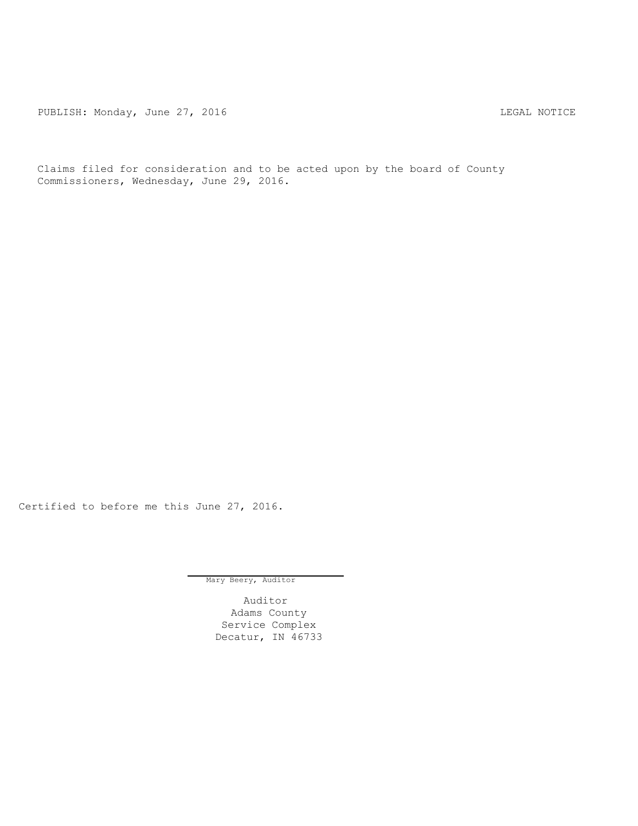PUBLISH: Monday, June 27, 2016 CHA CHANGE AND THE SAL NOTICE

Claims filed for consideration and to be acted upon by the board of County Commissioners, Wednesday, June 29, 2016.

Certified to before me this June 27, 2016.

Mary Beery, Auditor

Auditor Adams County Service Complex Decatur, IN 46733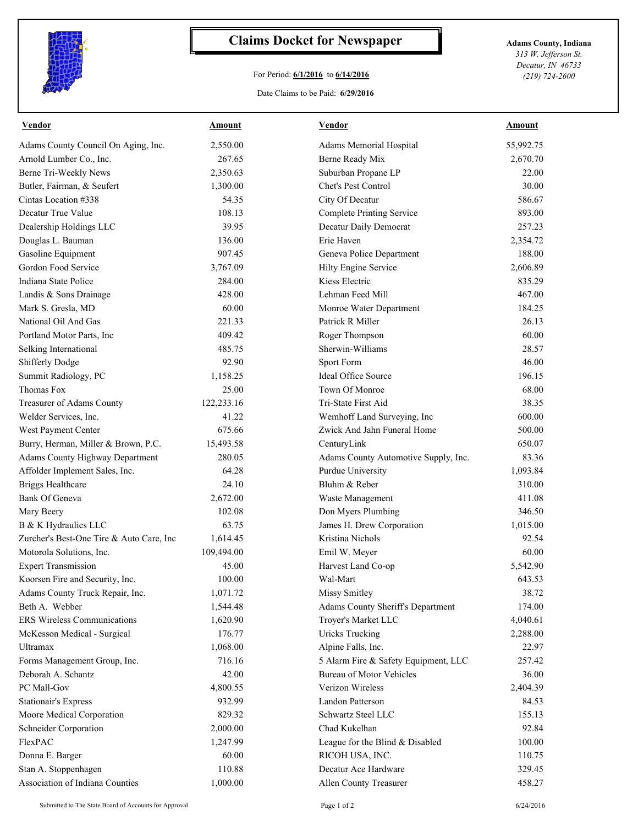

## **Claims Docket for Newspaper Adams County, Indiana**

## For Period: **6/1/2016** to **6/14/2016**

Date Claims to be Paid: **6/29/2016**

*313 W. Jefferson St. Decatur, IN 46733 (219) 724-2600*

| <b>Vendor</b>                            | <b>Amount</b> | <b>Vendor</b>                        | <b>Amount</b> |
|------------------------------------------|---------------|--------------------------------------|---------------|
| Adams County Council On Aging, Inc.      | 2,550.00      | Adams Memorial Hospital              | 55,992.75     |
| Arnold Lumber Co., Inc.                  | 267.65        | Berne Ready Mix                      | 2,670.70      |
| Berne Tri-Weekly News                    | 2,350.63      | Suburban Propane LP                  | 22.00         |
| Butler, Fairman, & Seufert               | 1,300.00      | Chet's Pest Control                  | 30.00         |
| Cintas Location #338                     | 54.35         | City Of Decatur                      | 586.67        |
| Decatur True Value                       | 108.13        | <b>Complete Printing Service</b>     | 893.00        |
| Dealership Holdings LLC                  | 39.95         | Decatur Daily Democrat               | 257.23        |
| Douglas L. Bauman                        | 136.00        | Erie Haven                           | 2,354.72      |
| Gasoline Equipment                       | 907.45        | Geneva Police Department             | 188.00        |
| Gordon Food Service                      | 3,767.09      | Hilty Engine Service                 | 2,606.89      |
| Indiana State Police                     | 284.00        | Kiess Electric                       | 835.29        |
| Landis & Sons Drainage                   | 428.00        | Lehman Feed Mill                     | 467.00        |
| Mark S. Gresla, MD                       | 60.00         | Monroe Water Department              | 184.25        |
| National Oil And Gas                     | 221.33        | Patrick R Miller                     | 26.13         |
| Portland Motor Parts, Inc                | 409.42        | Roger Thompson                       | 60.00         |
| Selking International                    | 485.75        | Sherwin-Williams                     | 28.57         |
| <b>Shifferly Dodge</b>                   | 92.90         | Sport Form                           | 46.00         |
| Summit Radiology, PC                     | 1,158.25      | Ideal Office Source                  | 196.15        |
| Thomas Fox                               | 25.00         | Town Of Monroe                       | 68.00         |
| Treasurer of Adams County                | 122,233.16    | Tri-State First Aid                  | 38.35         |
| Welder Services, Inc.                    | 41.22         | Wemhoff Land Surveying, Inc          | 600.00        |
| West Payment Center                      | 675.66        | Zwick And Jahn Funeral Home          | 500.00        |
| Burry, Herman, Miller & Brown, P.C.      | 15,493.58     | CenturyLink                          | 650.07        |
| <b>Adams County Highway Department</b>   | 280.05        | Adams County Automotive Supply, Inc. | 83.36         |
| Affolder Implement Sales, Inc.           | 64.28         | Purdue University                    | 1,093.84      |
| <b>Briggs Healthcare</b>                 | 24.10         | Bluhm & Reber                        | 310.00        |
| <b>Bank Of Geneva</b>                    | 2,672.00      | Waste Management                     | 411.08        |
| Mary Beery                               | 102.08        | Don Myers Plumbing                   | 346.50        |
| B & K Hydraulics LLC                     | 63.75         | James H. Drew Corporation            | 1,015.00      |
| Zurcher's Best-One Tire & Auto Care, Inc | 1,614.45      | Kristina Nichols                     | 92.54         |
| Motorola Solutions, Inc.                 | 109,494.00    | Emil W. Meyer                        | 60.00         |
| <b>Expert Transmission</b>               | 45.00         | Harvest Land Co-op                   | 5,542.90      |
| Koorsen Fire and Security, Inc.          | 100.00        | Wal-Mart                             | 643.53        |
| Adams County Truck Repair, Inc.          | 1,071.72      | <b>Missy Smitley</b>                 | 38.72         |
| Beth A. Webber                           | 1,544.48      | Adams County Sheriff's Department    | 174.00        |
| <b>ERS Wireless Communications</b>       | 1,620.90      | Troyer's Market LLC                  | 4,040.61      |
| McKesson Medical - Surgical              | 176.77        | <b>Uricks Trucking</b>               | 2,288.00      |
| Ultramax                                 | 1,068.00      | Alpine Falls, Inc.                   | 22.97         |
| Forms Management Group, Inc.             | 716.16        | 5 Alarm Fire & Safety Equipment, LLC | 257.42        |
| Deborah A. Schantz                       | 42.00         | <b>Bureau of Motor Vehicles</b>      | 36.00         |
| PC Mall-Gov                              | 4,800.55      | Verizon Wireless                     | 2,404.39      |
| <b>Stationair's Express</b>              | 932.99        | <b>Landon Patterson</b>              | 84.53         |
| Moore Medical Corporation                | 829.32        | Schwartz Steel LLC                   | 155.13        |
| Schneider Corporation                    | 2,000.00      | Chad Kukelhan                        | 92.84         |
| FlexPAC                                  | 1,247.99      | League for the Blind & Disabled      | 100.00        |
| Donna E. Barger                          | 60.00         | RICOH USA, INC.                      | 110.75        |
| Stan A. Stoppenhagen                     | 110.88        | Decatur Ace Hardware                 | 329.45        |
| Association of Indiana Counties          | 1,000.00      | Allen County Treasurer               | 458.27        |